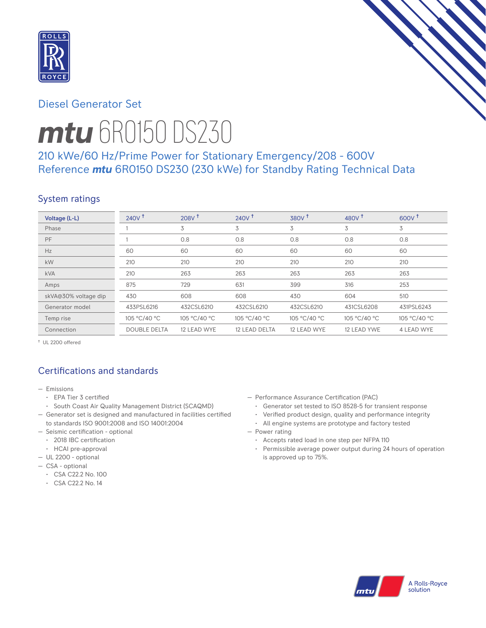

# Diesel Generator Set



# *mtu* 6R0150 DS230

# 210 kWe/60 Hz/Prime Power for Stationary Emergency/208 - 600V Reference *mtu* 6R0150 DS230 (230 kWe) for Standby Rating Technical Data

# System ratings

| Voltage (L-L)        | 240V <sup>†</sup>   | 208V <sup>†</sup> | $240V$ <sup>+</sup> | 380V <sup>†</sup> | 480 $V†$     | $600V^{\dagger}$ |
|----------------------|---------------------|-------------------|---------------------|-------------------|--------------|------------------|
| Phase                |                     | 3                 | 3                   | 3                 | 3            | 3                |
| PF                   |                     | 0.8               | 0.8                 | 0.8               | 0.8          | 0.8              |
| Hz                   | 60                  | 60                | 60                  | 60                | 60           | 60               |
| kW                   | 210                 | 210               | 210                 | 210               | 210          | 210              |
| <b>kVA</b>           | 210                 | 263               | 263                 | 263               | 263          | 263              |
| Amps                 | 875                 | 729               | 631                 | 399               | 316          | 253              |
| skVA@30% voltage dip | 430                 | 608               | 608                 | 430               | 604          | 510              |
| Generator model      | 433PSL6216          | 432CSL6210        | 432CSL6210          | 432CSL6210        | 431CSL6208   | 431PSL6243       |
| Temp rise            | 105 °C/40 °C        | 105 °C/40 °C      | 105 °C/40 °C        | 105 °C/40 °C      | 105 °C/40 °C | 105 °C/40 °C     |
| Connection           | <b>DOUBLE DELTA</b> | 12 LEAD WYE       | 12 LEAD DELTA       | 12 LEAD WYE       | 12 LEAD YWE  | 4 LEAD WYE       |

† UL 2200 offered

# Certifications and standards

- Emissions
	- EPA Tier 3 certified
- South Coast Air Quality Management District (SCAQMD)
- Generator set is designed and manufactured in facilities certified to standards ISO 9001:2008 and ISO 14001:2004
- Seismic certification optional
- 2018 IBC certification
- HCAI pre-approval
- UL 2200 optional
- CSA optional
	- CSA C22.2 No. 100
	- CSA C22.2 No. 14
- Performance Assurance Certification (PAC)
	- Generator set tested to ISO 8528-5 for transient response
	- Verified product design, quality and performance integrity
	- All engine systems are prototype and factory tested
- Power rating
	- Accepts rated load in one step per NFPA 110
	- Permissible average power output during 24 hours of operation is approved up to 75%.

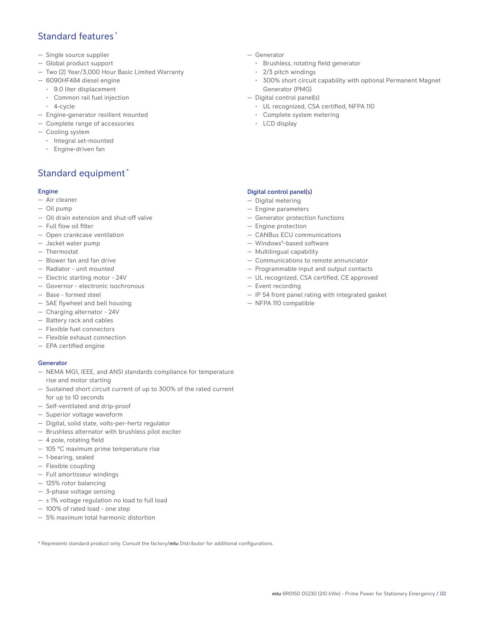## Standard features \*

- Single source supplier
- Global product support
- Two (2) Year/3,000 Hour Basic Limited Warranty
- 6090HF484 diesel engine
	- 9.0 liter displacement
	- Common rail fuel injection
	- 4-cycle
- Engine-generator resilient mounted
- Complete range of accessories
- Cooling system
- Integral set-mounted
	- Engine-driven fan

## Standard equipment \*

### Engine

- Air cleaner
- Oil pump
- Oil drain extension and shut-off valve
- Full flow oil filter
- Open crankcase ventilation
- Jacket water pump
- Thermostat
- Blower fan and fan drive
- Radiator unit mounted
- Electric starting motor 24V
- Governor electronic isochronous
- Base formed steel
- SAE flywheel and bell housing
- Charging alternator 24V
- Battery rack and cables
- Flexible fuel connectors
- Flexible exhaust connection
- EPA certified engine

#### **Generator**

- NEMA MG1, IEEE, and ANSI standards compliance for temperature rise and motor starting
- Sustained short circuit current of up to 300% of the rated current for up to 10 seconds
- Self-ventilated and drip-proof
- Superior voltage waveform
- Digital, solid state, volts-per-hertz regulator
- Brushless alternator with brushless pilot exciter
- 4 pole, rotating field
- 105 °C maximum prime temperature rise
- 1-bearing, sealed
- Flexible coupling
- Full amortisseur windings
- 125% rotor balancing
- 3-phase voltage sensing
- $\pm$  1% voltage regulation no load to full load
- 100% of rated load one step
- 5% maximum total harmonic distortion

\* Represents standard product only. Consult the factory/*mtu* Distributor for additional configurations.

- Generator
	- Brushless, rotating field generator
	- 2/3 pitch windings
	- 300% short circuit capability with optional Permanent Magnet Generator (PMG)
- Digital control panel(s)
	- UL recognized, CSA certified, NFPA 110
	- Complete system metering
	- LCD display

### Digital control panel(s)

- Digital metering
- Engine parameters
- Generator protection functions
- Engine protection
- CANBus ECU communications
- Windows®-based software
- Multilingual capability
- Communications to remote annunciator
- Programmable input and output contacts
- UL recognized, CSA certified, CE approved
- Event recording
- IP 54 front panel rating with integrated gasket
- NFPA 110 compatible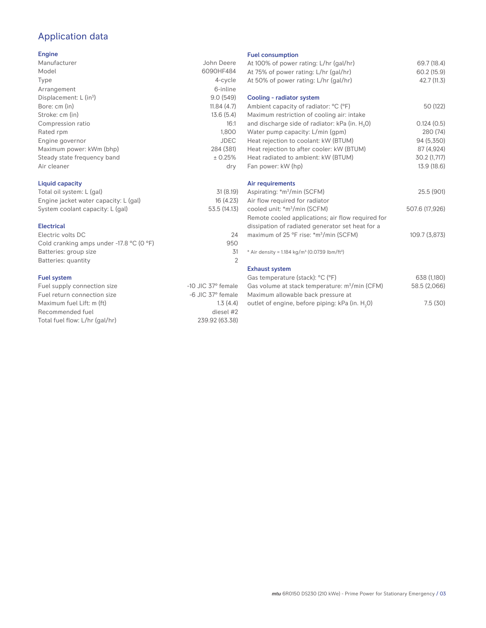# Application data

#### Engine

| Manufacturer                | John Deere  |
|-----------------------------|-------------|
| Model                       | 6090HF484   |
| Type                        | 4-cycle     |
| Arrangement                 | 6-inline    |
| Displacement: $L (in3)$     | 9.0(549)    |
| Bore: cm (in)               | 11.84(4.7)  |
| Stroke: cm (in)             | 13.6(5.4)   |
| Compression ratio           | 16:1        |
| Rated rpm                   | 1.800       |
| Engine governor             | <b>JDEC</b> |
| Maximum power: kWm (bhp)    | 284 (381)   |
| Steady state frequency band | ± 0.25%     |
| Air cleaner                 | dry         |
|                             |             |

## Liquid capacity

| Total oil system: L (gal)             | 31(8.19)     |
|---------------------------------------|--------------|
| Engine jacket water capacity: L (gal) | 16(4.23)     |
| System coolant capacity: L (gal)      | 53.5 (14.13) |

#### Electrical

| Electric volts DC                                            | 24  |
|--------------------------------------------------------------|-----|
| Cold cranking amps under -17.8 $^{\circ}$ C (O $^{\circ}$ F) | 950 |
| Batteries: group size                                        | .31 |
| Batteries: quantity                                          |     |
|                                                              |     |

### Fuel system

| $-10$ JIC 37 $\degree$ female |
|-------------------------------|
| $-6$ JIC $37^\circ$ female    |
| 1.3(4.4)                      |
| diesel #2                     |
| 239.92 (63.38)                |
|                               |

#### Fuel consumption

| At 100% of power rating: L/hr (gal/hr)<br>At 75% of power rating: L/hr (gal/hr)<br>At 50% of power rating: L/hr (gal/hr) | 69.7 (18.4)<br>60.2 (15.9)<br>42.7 (11.3) |
|--------------------------------------------------------------------------------------------------------------------------|-------------------------------------------|
| Cooling - radiator system                                                                                                |                                           |
| Ambient capacity of radiator: °C (°F)<br>Maximum restriction of cooling air: intake                                      | 50 (122)                                  |
| and discharge side of radiator: kPa (in. H <sub>2</sub> 0)                                                               | 0.124(0.5)                                |
| Water pump capacity: L/min (gpm)                                                                                         | 280 (74)                                  |
| Heat rejection to coolant: kW (BTUM)                                                                                     | 94 (5,350)                                |
| Heat rejection to after cooler: kW (BTUM)                                                                                | 87 (4,924)                                |
| Heat radiated to ambient: kW (BTUM)                                                                                      | 30.2 (1,717)                              |
| Fan power: kW (hp)                                                                                                       | 13.9 (18.6)                               |
| Air requirements                                                                                                         |                                           |
| Aspirating: *m <sup>3</sup> /min (SCFM)                                                                                  | 25.5 (901)                                |
| Air flow required for radiator                                                                                           |                                           |
| cooled unit: *m <sup>3</sup> /min (SCFM)                                                                                 | 507.6 (17,926)                            |
| Remote cooled applications; air flow required for                                                                        |                                           |
| dissipation of radiated generator set heat for a                                                                         |                                           |
| maximum of 25 °F rise: *m <sup>3</sup> /min (SCFM)                                                                       | 109.7 (3,873)                             |
| * Air density = $1.184 \text{ kg/m}^3$ (0.0739 lbm/ft <sup>3</sup> )                                                     |                                           |
| <b>Exhaust system</b>                                                                                                    |                                           |
| Gas temperature (stack): °C (°F)                                                                                         | 638 (1,180)                               |
| Gas volume at stack temperature: m <sup>3</sup> /min (CFM)                                                               | 58.5 (2,066)                              |
| Maximum allowable back pressure at                                                                                       |                                           |
| outlet of engine, before piping: kPa (in. H <sub>2</sub> 0)                                                              | 7.5(30)                                   |
|                                                                                                                          |                                           |